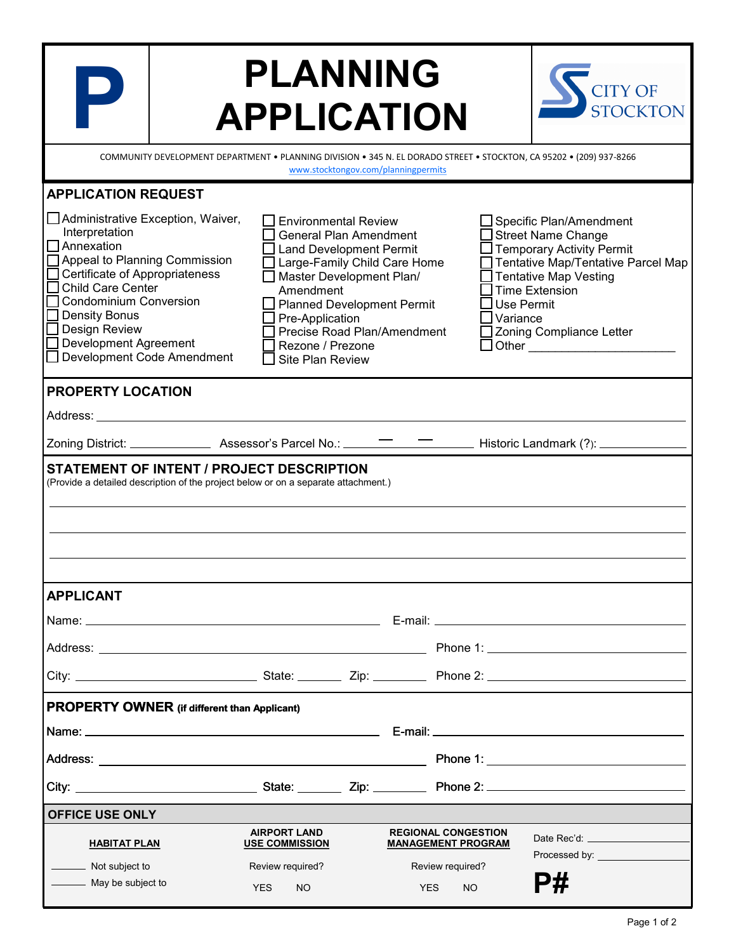|                                                                                                                                                                                                                                                                                       | <b>PLANNING</b><br><b>APPLICATION</b>                                                       |                                                                                                                                                                                                                                |                                                                                    | <b>CITY OF</b><br><b>STOCKTON</b>                                                                                                                                                                                                                                                                                                                                                                                                                                          |  |  |
|---------------------------------------------------------------------------------------------------------------------------------------------------------------------------------------------------------------------------------------------------------------------------------------|---------------------------------------------------------------------------------------------|--------------------------------------------------------------------------------------------------------------------------------------------------------------------------------------------------------------------------------|------------------------------------------------------------------------------------|----------------------------------------------------------------------------------------------------------------------------------------------------------------------------------------------------------------------------------------------------------------------------------------------------------------------------------------------------------------------------------------------------------------------------------------------------------------------------|--|--|
| COMMUNITY DEVELOPMENT DEPARTMENT . PLANNING DIVISION . 345 N. EL DORADO STREET . STOCKTON, CA 95202 . (209) 937-8266<br>www.stocktongov.com/planningpermits                                                                                                                           |                                                                                             |                                                                                                                                                                                                                                |                                                                                    |                                                                                                                                                                                                                                                                                                                                                                                                                                                                            |  |  |
| <b>APPLICATION REQUEST</b>                                                                                                                                                                                                                                                            |                                                                                             |                                                                                                                                                                                                                                |                                                                                    |                                                                                                                                                                                                                                                                                                                                                                                                                                                                            |  |  |
| Administrative Exception, Waiver,<br>Interpretation<br>Annexation<br>Appeal to Planning Commission<br>Certificate of Appropriateness<br>Child Care Center<br><b>Condominium Conversion</b><br>Density Bonus<br>□ Design Review<br>Development Agreement<br>Development Code Amendment | Amendment<br>Pre-Application<br>Rezone / Prezone<br>Site Plan Review                        | <b>Environmental Review</b><br><b>General Plan Amendment</b><br><b>Land Development Permit</b><br>Large-Family Child Care Home<br>Master Development Plan/<br><b>Planned Development Permit</b><br>Precise Road Plan/Amendment | Variance                                                                           | Specific Plan/Amendment<br><b>Street Name Change</b><br><b>Temporary Activity Permit</b><br>Tentative Map/Tentative Parcel Map<br><b>Tentative Map Vesting</b><br><b>Time Extension</b><br><b>Use Permit</b><br>Zoning Compliance Letter<br>Other the contract of the contract of the contract of the contract of the contract of the contract of the contract of the contract of the contract of the contract of the contract of the contract of the contract of the cont |  |  |
| <b>PROPERTY LOCATION</b>                                                                                                                                                                                                                                                              |                                                                                             |                                                                                                                                                                                                                                |                                                                                    |                                                                                                                                                                                                                                                                                                                                                                                                                                                                            |  |  |
| Address: __                                                                                                                                                                                                                                                                           |                                                                                             |                                                                                                                                                                                                                                |                                                                                    |                                                                                                                                                                                                                                                                                                                                                                                                                                                                            |  |  |
|                                                                                                                                                                                                                                                                                       |                                                                                             |                                                                                                                                                                                                                                |                                                                                    |                                                                                                                                                                                                                                                                                                                                                                                                                                                                            |  |  |
| <b>STATEMENT OF INTENT / PROJECT DESCRIPTION</b><br>(Provide a detailed description of the project below or on a separate attachment.)                                                                                                                                                |                                                                                             |                                                                                                                                                                                                                                |                                                                                    |                                                                                                                                                                                                                                                                                                                                                                                                                                                                            |  |  |
| <b>APPLICANT</b>                                                                                                                                                                                                                                                                      |                                                                                             |                                                                                                                                                                                                                                |                                                                                    |                                                                                                                                                                                                                                                                                                                                                                                                                                                                            |  |  |
|                                                                                                                                                                                                                                                                                       |                                                                                             |                                                                                                                                                                                                                                |                                                                                    |                                                                                                                                                                                                                                                                                                                                                                                                                                                                            |  |  |
|                                                                                                                                                                                                                                                                                       |                                                                                             |                                                                                                                                                                                                                                |                                                                                    |                                                                                                                                                                                                                                                                                                                                                                                                                                                                            |  |  |
|                                                                                                                                                                                                                                                                                       |                                                                                             |                                                                                                                                                                                                                                |                                                                                    |                                                                                                                                                                                                                                                                                                                                                                                                                                                                            |  |  |
| <b>PROPERTY OWNER</b> (if different than Applicant)                                                                                                                                                                                                                                   |                                                                                             |                                                                                                                                                                                                                                |                                                                                    |                                                                                                                                                                                                                                                                                                                                                                                                                                                                            |  |  |
|                                                                                                                                                                                                                                                                                       |                                                                                             |                                                                                                                                                                                                                                |                                                                                    |                                                                                                                                                                                                                                                                                                                                                                                                                                                                            |  |  |
|                                                                                                                                                                                                                                                                                       |                                                                                             |                                                                                                                                                                                                                                |                                                                                    |                                                                                                                                                                                                                                                                                                                                                                                                                                                                            |  |  |
|                                                                                                                                                                                                                                                                                       |                                                                                             |                                                                                                                                                                                                                                |                                                                                    |                                                                                                                                                                                                                                                                                                                                                                                                                                                                            |  |  |
| <b>OFFICE USE ONLY</b>                                                                                                                                                                                                                                                                |                                                                                             |                                                                                                                                                                                                                                |                                                                                    |                                                                                                                                                                                                                                                                                                                                                                                                                                                                            |  |  |
| <b>HABITAT PLAN</b><br>Not subject to<br>May be subject to                                                                                                                                                                                                                            | <b>AIRPORT LAND</b><br><b>USE COMMISSION</b><br>Review required?<br><b>NO</b><br><b>YES</b> | <b>YES</b>                                                                                                                                                                                                                     | <b>REGIONAL CONGESTION</b><br><b>MANAGEMENT PROGRAM</b><br>Review required?<br>NO. | Date Rec'd: _____________________<br>Processed by: ___________________<br>P#                                                                                                                                                                                                                                                                                                                                                                                               |  |  |